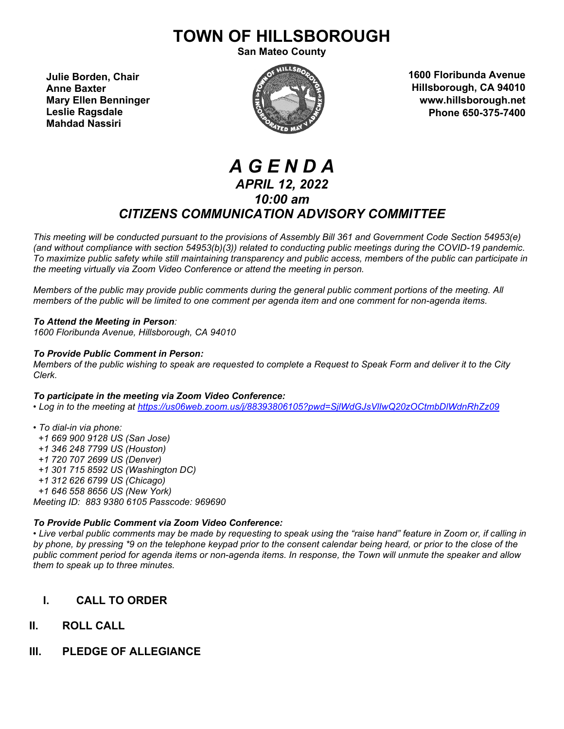# **TOWN OF HILLSBOROUGH**

**San Mateo County**

**Julie Borden, Chair Anne Baxter Mary Ellen Benninger Leslie Ragsdale Mahdad Nassiri**



**1600 Floribunda Avenue Hillsborough, CA 94010 www.hillsborough.net Phone 650-375-7400**

## *A G E N D A APRIL 12, 2022 10:00 am CITIZENS COMMUNICATION ADVISORY COMMITTEE*

*This meeting will be conducted pursuant to the provisions of Assembly Bill 361 and Government Code Section 54953(e) (and without compliance with section 54953(b)(3)) related to conducting public meetings during the COVID-19 pandemic. To maximize public safety while still maintaining transparency and public access, members of the public can participate in the meeting virtually via Zoom Video Conference or attend the meeting in person.* 

*Members of the public may provide public comments during the general public comment portions of the meeting. All members of the public will be limited to one comment per agenda item and one comment for non-agenda items.* 

#### *To Attend the Meeting in Person:*

*1600 Floribunda Avenue, Hillsborough, CA 94010*

#### *To Provide Public Comment in Person:*

*Members of the public wishing to speak are requested to complete a Request to Speak Form and deliver it to the City Clerk.*

#### *To participate in the meeting via Zoom Video Conference:*

*• Log in to the meeting at<https://us06web.zoom.us/j/88393806105?pwd=SjlWdGJsVlIwQ20zOCtmbDlWdnRhZz09>*

- *To dial-in via phone:*
- *+1 669 900 9128 US (San Jose)*
- *+1 346 248 7799 US (Houston)*
- *+1 720 707 2699 US (Denver)*
- *+1 301 715 8592 US (Washington DC)*
- *+1 312 626 6799 US (Chicago)*
- *+1 646 558 8656 US (New York)*

*Meeting ID: 883 9380 6105 Passcode: 969690*

#### *To Provide Public Comment via Zoom Video Conference:*

*• Live verbal public comments may be made by requesting to speak using the "raise hand" feature in Zoom or, if calling in by phone, by pressing \*9 on the telephone keypad prior to the consent calendar being heard, or prior to the close of the public comment period for agenda items or non-agenda items. In response, the Town will unmute the speaker and allow them to speak up to three minutes.*

### **I. CALL TO ORDER**

- **II. ROLL CALL**
- **III. PLEDGE OF ALLEGIANCE**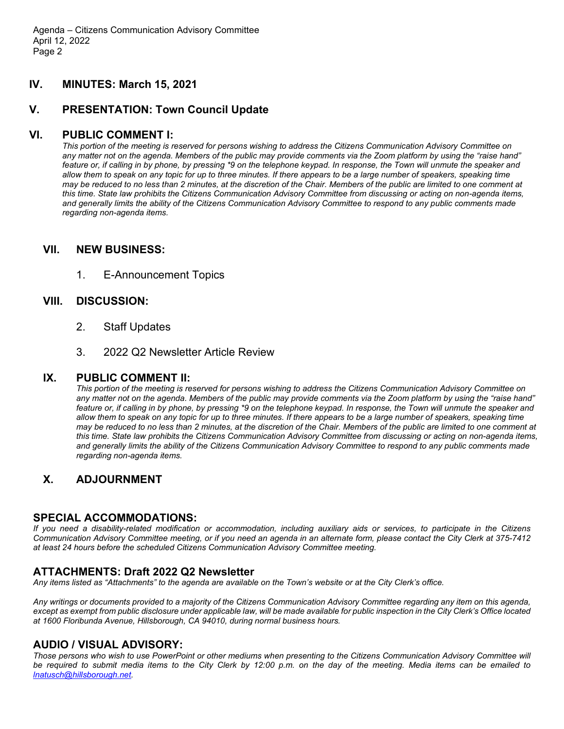#### **IV. MINUTES: March 15, 2021**

#### **V. PRESENTATION: Town Council Update**

#### **VI. PUBLIC COMMENT I:**

*This portion of the meeting is reserved for persons wishing to address the Citizens Communication Advisory Committee on any matter not on the agenda. Members of the public may provide comments via the Zoom platform by using the "raise hand" feature or, if calling in by phone, by pressing \*9 on the telephone keypad. In response, the Town will unmute the speaker and allow them to speak on any topic for up to three minutes. If there appears to be a large number of speakers, speaking time may be reduced to no less than 2 minutes, at the discretion of the Chair. Members of the public are limited to one comment at this time. State law prohibits the Citizens Communication Advisory Committee from discussing or acting on non-agenda items, and generally limits the ability of the Citizens Communication Advisory Committee to respond to any public comments made regarding non-agenda items.*

#### **VII. NEW BUSINESS:**

1. E-Announcement Topics

#### **VIII. DISCUSSION:**

- 2. Staff Updates
- 3. 2022 Q2 Newsletter Article Review

#### **IX. PUBLIC COMMENT II:**

*This portion of the meeting is reserved for persons wishing to address the Citizens Communication Advisory Committee on any matter not on the agenda. Members of the public may provide comments via the Zoom platform by using the "raise hand" feature or, if calling in by phone, by pressing \*9 on the telephone keypad. In response, the Town will unmute the speaker and allow them to speak on any topic for up to three minutes. If there appears to be a large number of speakers, speaking time may be reduced to no less than 2 minutes, at the discretion of the Chair. Members of the public are limited to one comment at this time. State law prohibits the Citizens Communication Advisory Committee from discussing or acting on non-agenda items, and generally limits the ability of the Citizens Communication Advisory Committee to respond to any public comments made regarding non-agenda items.*

#### **X. ADJOURNMENT**

#### **SPECIAL ACCOMMODATIONS:**

*If you need a disability-related modification or accommodation, including auxiliary aids or services, to participate in the Citizens Communication Advisory Committee meeting, or if you need an agenda in an alternate form, please contact the City Clerk at 375-7412 at least 24 hours before the scheduled Citizens Communication Advisory Committee meeting.*

#### **ATTACHMENTS: Draft 2022 Q2 Newsletter**

*Any items listed as "Attachments" to the agenda are available on the Town's website or at the City Clerk's office.* 

*Any writings or documents provided to a majority of the Citizens Communication Advisory Committee regarding any item on this agenda, except as exempt from public disclosure under applicable law, will be made available for public inspection in the City Clerk's Office located at 1600 Floribunda Avenue, Hillsborough, CA 94010, during normal business hours.*

#### **AUDIO / VISUAL ADVISORY:**

*Those persons who wish to use PowerPoint or other mediums when presenting to the Citizens Communication Advisory Committee will be required to submit media items to the City Clerk by 12:00 p.m. on the day of the meeting. Media items can be emailed to [lnatusch@hillsborough.net.](mailto:lnatusch@hillsborough.net)*